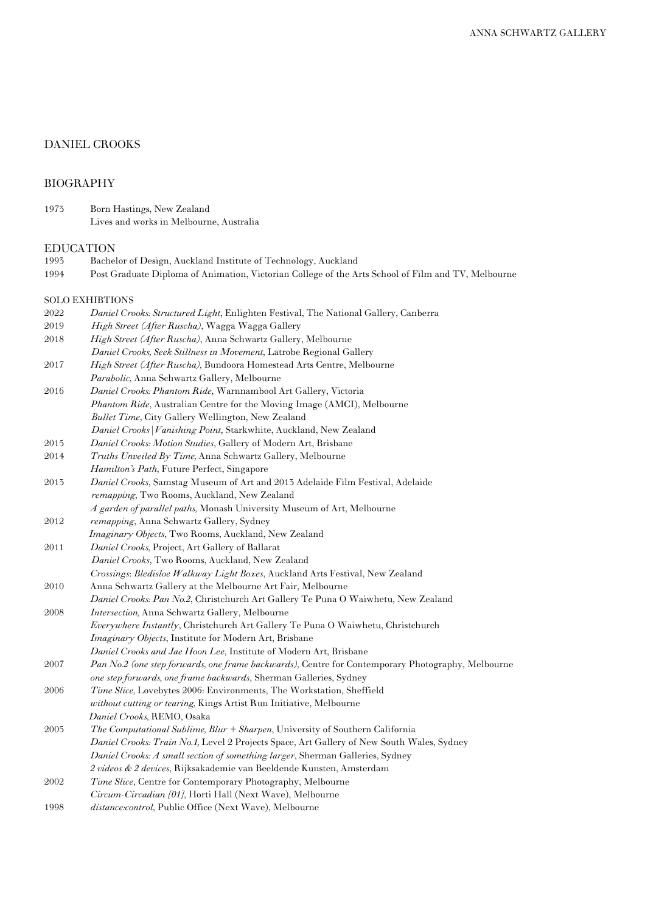# DANIEL CROOKS

## BIOGRAPHY

1973 Born Hastings, New Zealand Lives and works in Melbourne, Australia

# EDUCATION<br>1993 Bache

- Bachelor of Design, Auckland Institute of Technology, Auckland
- 1994 Post Graduate Diploma of Animation, Victorian College of the Arts School of Film and TV, Melbourne

## SOLO EXHIBTIONS

| 2022 | Daniel Crooks: Structured Light, Enlighten Festival, The National Gallery, Canberra |
|------|-------------------------------------------------------------------------------------|
| 2019 | <i>High Street (After Ruscha)</i> , Wagga Wagga Gallery                             |
| 2018 | <i>High Street (After Ruscha)</i> , Anna Schwartz Gallery, Melbourne                |
|      | Daniel Crooks, Seek Stillness in Movement, Latrobe Regional Gallery                 |

- 2017 *High Street (After Ruscha),* Bundoora Homestead Arts Centre, Melbourne *Parabolic,* Anna Schwartz Gallery, Melbourne
- 2016 *Daniel Crooks: Phantom Ride*, Warnnambool Art Gallery, Victoria  *Phantom Ride*, Australian Centre for the Moving Image (AMCI), Melbourne *Bullet Time*, City Gallery Wellington, New Zealand *Daniel Crooks|Vanishing Point*, Starkwhite, Auckland, New Zealand
- 2015 *Daniel Crooks: Motion Studies*, Gallery of Modern Art, Brisbane
- 2014 *Truths Unveiled By Time,* Anna Schwartz Gallery, Melbourne
- *Hamilton's Path*, Future Perfect, Singapore 2013 *Daniel Crooks*, Samstag Museum of Art and 2013 Adelaide Film Festival, Adelaide
- *remapping*, Two Rooms, Auckland, New Zealand *A garden of parallel paths,* Monash University Museum of Art, Melbourne
- 2012 *remapping*, Anna Schwartz Gallery, Sydney
- *Imaginary Objects*, Two Rooms, Auckland, New Zealand
- 2011 *Daniel Crooks,* Project, Art Gallery of Ballarat *Daniel Crooks*, Two Rooms, Auckland, New Zealand *Crossings*: *Bledisloe Walkway Light Boxes*, Auckland Arts Festival, New Zealand
- 2010 Anna Schwartz Gallery at the Melbourne Art Fair, Melbourne
- *Daniel Crooks: Pan No.2*, Christchurch Art Gallery Te Puna O Waiwhetu, New Zealand 2008 *Intersection,* Anna Schwartz Gallery, Melbourne
- *Everywhere Instantly*, Christchurch Art Gallery Te Puna O Waiwhetu, Christchurch *Imaginary Objects*, Institute for Modern Art, Brisbane

 *Daniel Crooks and Jae Hoon Lee*, Institute of Modern Art, Brisbane

- 2007 *Pan No.2 (one step forwards, one frame backwards),* Centre for Contemporary Photography, Melbourne *one step forwards, one frame backwards*, Sherman Galleries, Sydney
- 2006 *Time Slice,* Lovebytes 2006: Environments, The Workstation, Sheffield *without cutting or tearing,* Kings Artist Run Initiative, Melbourne *Daniel Crooks,* REMO, Osaka
- 2005 *The Computational Sublime, Blur + Sharpen*, University of Southern California *Daniel Crooks: Train No.1,* Level 2 Projects Space, Art Gallery of New South Wales, Sydney *Daniel Crooks: A small section of something larger*, Sherman Galleries, Sydney *2 videos & 2 devices*, Rijksakademie van Beeldende Kunsten, Amsterdam
- 2002 *Time Slice*, Centre for Contemporary Photography, Melbourne *Circum-Circadian [01],* Horti Hall (Next Wave), Melbourne
- 1998 *distance:control*, Public Office (Next Wave), Melbourne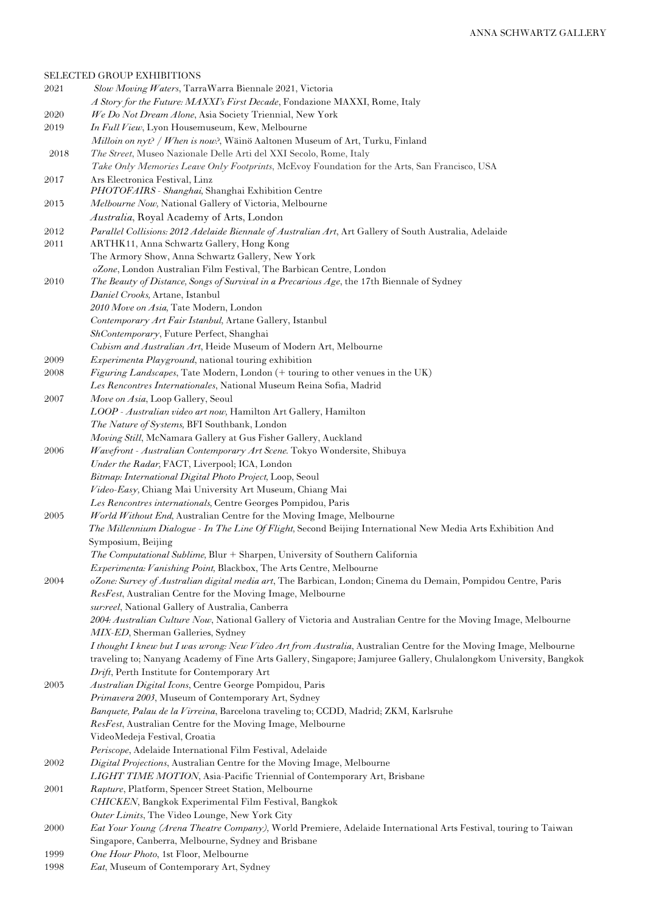SELECTED GROUP EXHIBITIONS 2021 *Slow Moving Waters*, TarraWarra Biennale 2021, Victoria *A Story for the Future: MAXXI's First Decade*, Fondazione MAXXI, Rome, Italy 2020 *We Do Not Dream Alone*, Asia Society Triennial, New York 2019 *In Full View*, Lyon Housemuseum, Kew, Melbourne *Milloin on nyt? / When is now?*, Wäinö Aaltonen Museum of Art, Turku, Finland 2018 *The Street*, Museo Nazionale Delle Arti del XXI Secolo, Rome, Italy *Take Only Memories Leave Only Footprints*, McEvoy Foundation for the Arts, San Francisco, USA 2017 Ars Electronica Festival, Linz *PHOTOFAIRS - Shanghai,* Shanghai Exhibition Centre 2013 *Melbourne Now,* National Gallery of Victoria, Melbourne *Australia*, Royal Academy of Arts, London 2012 *Parallel Collisions: 2012 Adelaide Biennale of Australian Art*, Art Gallery of South Australia, Adelaide 2011 ARTHK11, Anna Schwartz Gallery, Hong Kong The Armory Show, Anna Schwartz Gallery, New York  *oZone*, London Australian Film Festival, The Barbican Centre, London 2010 *The Beauty of Distance, Songs of Survival in a Precarious Age*, the 17th Biennale of Sydney *Daniel Crooks,* Artane, Istanbul *2010 Move on Asia,* Tate Modern, London *Contemporary Art Fair Istanbul,* Artane Gallery, Istanbul *ShContemporary*, Future Perfect, Shanghai *Cubism and Australian Art*, Heide Museum of Modern Art, Melbourne 2009 *Experimenta Playground*, national touring exhibition 2008 *Figuring Landscapes*, Tate Modern, London (+ touring to other venues in the UK) *Les Rencontres Internationales*, National Museum Reina Sofia, Madrid 2007 *Move on Asia*, Loop Gallery, Seoul *LOOP - Australian video art now,* Hamilton Art Gallery, Hamilton *The Nature of Systems,* BFI Southbank, London *Moving Still*, McNamara Gallery at Gus Fisher Gallery, Auckland 2006 *Wavefront - Australian Contemporary Art Scene.* Tokyo Wondersite, Shibuya  *Under the Radar,* FACT, Liverpool; ICA, London  *Bitmap: International Digital Photo Project,* Loop, Seoul  *Video-Easy,* Chiang Mai University Art Museum, Chiang Mai  *Les Rencontres internationals,* Centre Georges Pompidou, Paris 2005 *World Without End,* Australian Centre for the Moving Image, Melbourne  *The Millennium Dialogue - In The Line Of Flight,* Second Beijing International New Media Arts Exhibition And Symposium, Beijing *The Computational Sublime, Blur + Sharpen, University of Southern California Experimenta: Vanishing Point,* Blackbox, The Arts Centre, Melbourne 2004 *oZone: Survey of Australian digital media art*, The Barbican, London; Cinema du Demain, Pompidou Centre, Paris *ResFest*, Australian Centre for the Moving Image, Melbourne *sur:reel*, National Gallery of Australia, Canberra *2004: Australian Culture Now*, National Gallery of Victoria and Australian Centre for the Moving Image, Melbourne *MIX-ED*, Sherman Galleries, Sydney *I thought I knew but I was wrong: New Video Art from Australia*, Australian Centre for the Moving Image, Melbourne traveling to; Nanyang Academy of Fine Arts Gallery, Singapore; Jamjuree Gallery, Chulalongkom University, Bangkok *Drift*, Perth Institute for Contemporary Art 2003 *Australian Digital Icons*, Centre George Pompidou, Paris *Primavera 2003*, Museum of Contemporary Art, Sydney *Banquete, Palau de la Virreina*, Barcelona traveling to; CCDD, Madrid; ZKM, Karlsruhe *ResFest*, Australian Centre for the Moving Image, Melbourne VideoMedeja Festival, Croatia *Periscope*, Adelaide International Film Festival, Adelaide 2002 *Digital Projections*, Australian Centre for the Moving Image, Melbourne *LIGHT TIME MOTION*, Asia-Pacific Triennial of Contemporary Art, Brisbane 2001 *Rapture*, Platform, Spencer Street Station, Melbourne *CHICKEN*, Bangkok Experimental Film Festival, Bangkok *Outer Limits*, The Video Lounge, New York City 2000 *Eat Your Young (Arena Theatre Company),* World Premiere, Adelaide International Arts Festival, touring to Taiwan Singapore, Canberra, Melbourne, Sydney and Brisbane 1999 *One Hour Photo*, 1st Floor, Melbourne

1998 *Eat*, Museum of Contemporary Art, Sydney